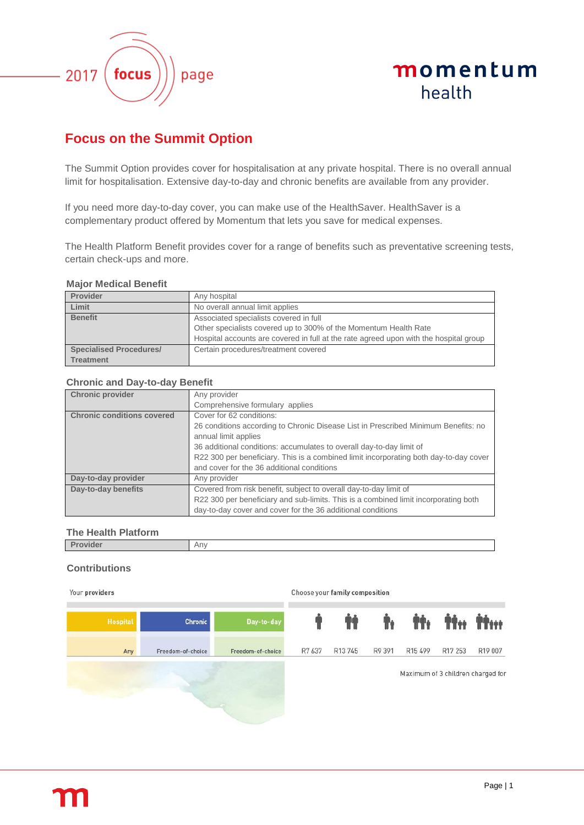

## momentum health

## **Focus on the Summit Option**

The Summit Option provides cover for hospitalisation at any private hospital. There is no overall annual limit for hospitalisation. Extensive day-to-day and chronic benefits are available from any provider.

If you need more day-to-day cover, you can make use of the HealthSaver. HealthSaver is a complementary product offered by Momentum that lets you save for medical expenses.

The Health Platform Benefit provides cover for a range of benefits such as preventative screening tests, certain check-ups and more.

#### **Major Medical Benefit**

| Provider                       | Any hospital                                                                          |
|--------------------------------|---------------------------------------------------------------------------------------|
| Limit                          | No overall annual limit applies                                                       |
| <b>Benefit</b>                 | Associated specialists covered in full                                                |
|                                | Other specialists covered up to 300% of the Momentum Health Rate                      |
|                                | Hospital accounts are covered in full at the rate agreed upon with the hospital group |
| <b>Specialised Procedures/</b> | Certain procedures/treatment covered                                                  |
| <b>Treatment</b>               |                                                                                       |

#### **Chronic and Day-to-day Benefit**

| <b>Chronic provider</b>           | Any provider                                                                          |  |  |
|-----------------------------------|---------------------------------------------------------------------------------------|--|--|
|                                   | Comprehensive formulary applies                                                       |  |  |
| <b>Chronic conditions covered</b> | Cover for 62 conditions:                                                              |  |  |
|                                   | 26 conditions according to Chronic Disease List in Prescribed Minimum Benefits: no    |  |  |
|                                   | annual limit applies                                                                  |  |  |
|                                   | 36 additional conditions: accumulates to overall day-to-day limit of                  |  |  |
|                                   | R22 300 per beneficiary. This is a combined limit incorporating both day-to-day cover |  |  |
|                                   | and cover for the 36 additional conditions                                            |  |  |
| Day-to-day provider               | Any provider                                                                          |  |  |
| Day-to-day benefits               | Covered from risk benefit, subject to overall day-to-day limit of                     |  |  |
|                                   | R22 300 per beneficiary and sub-limits. This is a combined limit incorporating both   |  |  |
|                                   | day-to-day cover and cover for the 36 additional conditions                           |  |  |

#### **The Health Platform**

**Provider** Any

#### **Contributions**

| Your providers  |                   | Choose your family composition |        |        |        |                                   |              |         |
|-----------------|-------------------|--------------------------------|--------|--------|--------|-----------------------------------|--------------|---------|
| <b>Hospital</b> | <b>Chronic</b>    | Day-to-day                     |        | Ħ      | ħ.     |                                   | The The Ther |         |
| Any             | Freedom-of-choice | Freedom-of-choice              | R7 637 | R13745 | R9 391 | R <sub>15</sub> 499               | R17 253      | R19 007 |
|                 |                   |                                |        |        |        | Maximum of 3 children charged for |              |         |
|                 |                   | $\sim$                         |        |        |        |                                   |              |         |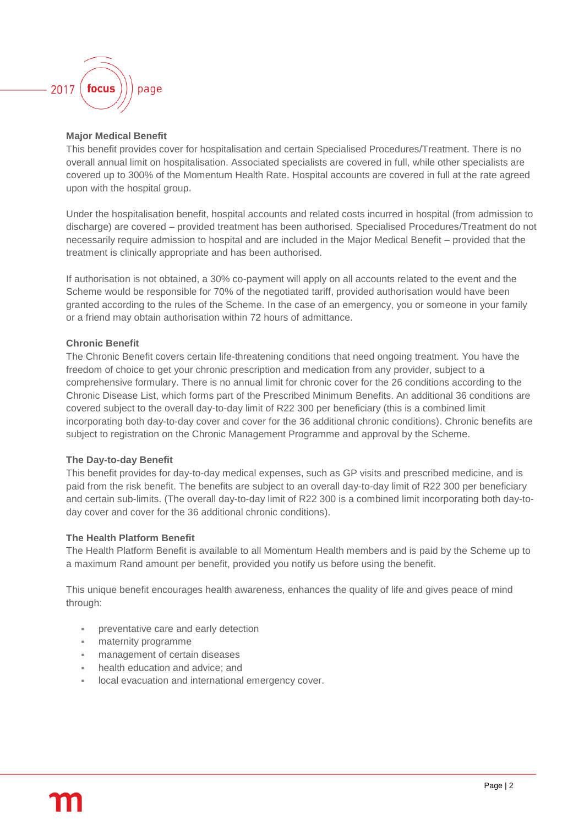

#### **Major Medical Benefit**

This benefit provides cover for hospitalisation and certain Specialised Procedures/Treatment. There is no overall annual limit on hospitalisation. Associated specialists are covered in full, while other specialists are covered up to 300% of the Momentum Health Rate. Hospital accounts are covered in full at the rate agreed upon with the hospital group.

Under the hospitalisation benefit, hospital accounts and related costs incurred in hospital (from admission to discharge) are covered – provided treatment has been authorised. Specialised Procedures/Treatment do not necessarily require admission to hospital and are included in the Major Medical Benefit – provided that the treatment is clinically appropriate and has been authorised.

If authorisation is not obtained, a 30% co-payment will apply on all accounts related to the event and the Scheme would be responsible for 70% of the negotiated tariff, provided authorisation would have been granted according to the rules of the Scheme. In the case of an emergency, you or someone in your family or a friend may obtain authorisation within 72 hours of admittance.

#### **Chronic Benefit**

The Chronic Benefit covers certain life-threatening conditions that need ongoing treatment. You have the freedom of choice to get your chronic prescription and medication from any provider, subject to a comprehensive formulary. There is no annual limit for chronic cover for the 26 conditions according to the Chronic Disease List, which forms part of the Prescribed Minimum Benefits. An additional 36 conditions are covered subject to the overall day-to-day limit of R22 300 per beneficiary (this is a combined limit incorporating both day-to-day cover and cover for the 36 additional chronic conditions). Chronic benefits are subject to registration on the Chronic Management Programme and approval by the Scheme.

#### **The Day-to-day Benefit**

This benefit provides for day-to-day medical expenses, such as GP visits and prescribed medicine, and is paid from the risk benefit. The benefits are subject to an overall day-to-day limit of R22 300 per beneficiary and certain sub-limits. (The overall day-to-day limit of R22 300 is a combined limit incorporating both day-today cover and cover for the 36 additional chronic conditions).

#### **The Health Platform Benefit**

The Health Platform Benefit is available to all Momentum Health members and is paid by the Scheme up to a maximum Rand amount per benefit, provided you notify us before using the benefit.

This unique benefit encourages health awareness, enhances the quality of life and gives peace of mind through:

- preventative care and early detection
- maternity programme
- management of certain diseases
- health education and advice; and
- local evacuation and international emergency cover.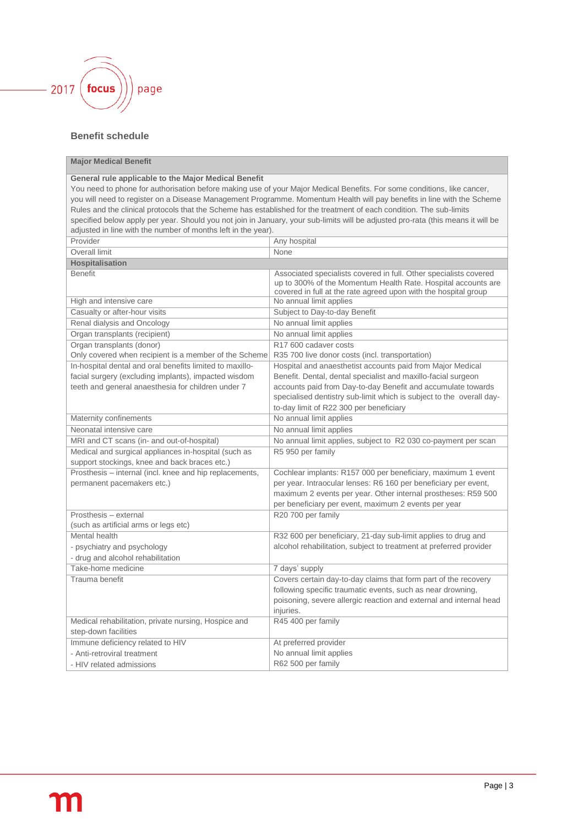### 2017 focus page

#### **Benefit schedule**

#### **Major Medical Benefit**

#### **General rule applicable to the Major Medical Benefit**

You need to phone for authorisation before making use of your Major Medical Benefits. For some conditions, like cancer, you will need to register on a Disease Management Programme. Momentum Health will pay benefits in line with the Scheme Rules and the clinical protocols that the Scheme has established for the treatment of each condition. The sub-limits specified below apply per year. Should you not join in January, your sub-limits will be adjusted pro-rata (this means it will be adjusted in line with the number of months left in the year).

| Provider                                                                                                                                                               | Any hospital                                                                                                                                                                                                                                                                                                   |  |  |
|------------------------------------------------------------------------------------------------------------------------------------------------------------------------|----------------------------------------------------------------------------------------------------------------------------------------------------------------------------------------------------------------------------------------------------------------------------------------------------------------|--|--|
| Overall limit                                                                                                                                                          | None                                                                                                                                                                                                                                                                                                           |  |  |
| Hospitalisation                                                                                                                                                        |                                                                                                                                                                                                                                                                                                                |  |  |
| <b>Benefit</b>                                                                                                                                                         | Associated specialists covered in full. Other specialists covered<br>up to 300% of the Momentum Health Rate. Hospital accounts are<br>covered in full at the rate agreed upon with the hospital group                                                                                                          |  |  |
| High and intensive care                                                                                                                                                | No annual limit applies                                                                                                                                                                                                                                                                                        |  |  |
| Casualty or after-hour visits                                                                                                                                          | Subject to Day-to-day Benefit                                                                                                                                                                                                                                                                                  |  |  |
| Renal dialysis and Oncology                                                                                                                                            | No annual limit applies                                                                                                                                                                                                                                                                                        |  |  |
| Organ transplants (recipient)                                                                                                                                          | No annual limit applies                                                                                                                                                                                                                                                                                        |  |  |
| Organ transplants (donor)                                                                                                                                              | R17 600 cadaver costs                                                                                                                                                                                                                                                                                          |  |  |
| Only covered when recipient is a member of the Scheme                                                                                                                  | R35 700 live donor costs (incl. transportation)                                                                                                                                                                                                                                                                |  |  |
| In-hospital dental and oral benefits limited to maxillo-<br>facial surgery (excluding implants), impacted wisdom<br>teeth and general anaesthesia for children under 7 | Hospital and anaesthetist accounts paid from Major Medical<br>Benefit. Dental, dental specialist and maxillo-facial surgeon<br>accounts paid from Day-to-day Benefit and accumulate towards<br>specialised dentistry sub-limit which is subject to the overall day-<br>to-day limit of R22 300 per beneficiary |  |  |
| Maternity confinements                                                                                                                                                 | No annual limit applies                                                                                                                                                                                                                                                                                        |  |  |
| Neonatal intensive care                                                                                                                                                | No annual limit applies                                                                                                                                                                                                                                                                                        |  |  |
| MRI and CT scans (in- and out-of-hospital)                                                                                                                             | No annual limit applies, subject to R2 030 co-payment per scan                                                                                                                                                                                                                                                 |  |  |
| Medical and surgical appliances in-hospital (such as<br>support stockings, knee and back braces etc.)                                                                  | R5 950 per family                                                                                                                                                                                                                                                                                              |  |  |
| Prosthesis - internal (incl. knee and hip replacements,<br>permanent pacemakers etc.)                                                                                  | Cochlear implants: R157 000 per beneficiary, maximum 1 event<br>per year. Intraocular lenses: R6 160 per beneficiary per event,<br>maximum 2 events per year. Other internal prostheses: R59 500<br>per beneficiary per event, maximum 2 events per year                                                       |  |  |
| Prosthesis - external                                                                                                                                                  | R20 700 per family                                                                                                                                                                                                                                                                                             |  |  |
| (such as artificial arms or legs etc)                                                                                                                                  |                                                                                                                                                                                                                                                                                                                |  |  |
| Mental health<br>- psychiatry and psychology<br>- drug and alcohol rehabilitation                                                                                      | R32 600 per beneficiary, 21-day sub-limit applies to drug and<br>alcohol rehabilitation, subject to treatment at preferred provider                                                                                                                                                                            |  |  |
| Take-home medicine                                                                                                                                                     | 7 days' supply                                                                                                                                                                                                                                                                                                 |  |  |
| Trauma benefit                                                                                                                                                         | Covers certain day-to-day claims that form part of the recovery<br>following specific traumatic events, such as near drowning,<br>poisoning, severe allergic reaction and external and internal head<br>injuries.                                                                                              |  |  |
| Medical rehabilitation, private nursing, Hospice and<br>step-down facilities                                                                                           | R45 400 per family                                                                                                                                                                                                                                                                                             |  |  |
| Immune deficiency related to HIV                                                                                                                                       | At preferred provider                                                                                                                                                                                                                                                                                          |  |  |
| - Anti-retroviral treatment                                                                                                                                            | No annual limit applies                                                                                                                                                                                                                                                                                        |  |  |
| - HIV related admissions                                                                                                                                               | R62 500 per family                                                                                                                                                                                                                                                                                             |  |  |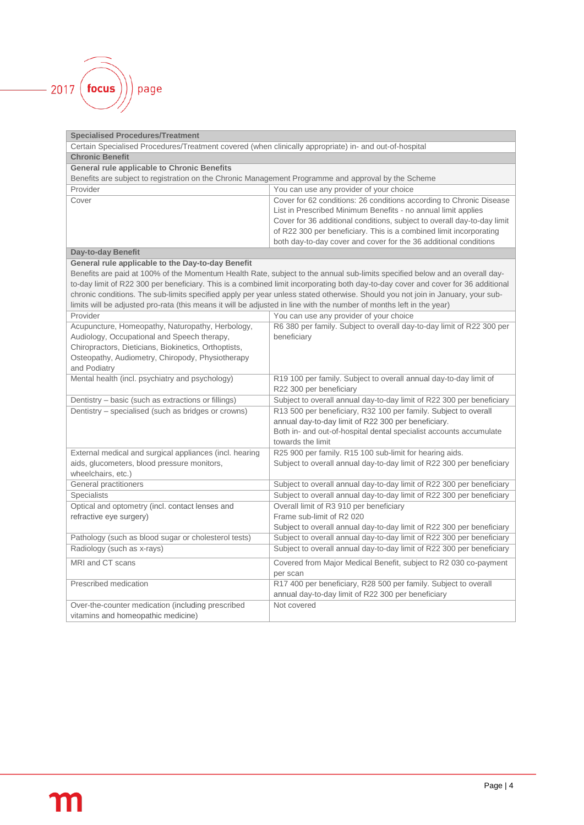# - 2017  $\Big($  focus  $\Big)$ page

| <b>Specialised Procedures/Treatment</b>                                                                              |                                                                                                                                                                                                                                                                  |  |  |  |
|----------------------------------------------------------------------------------------------------------------------|------------------------------------------------------------------------------------------------------------------------------------------------------------------------------------------------------------------------------------------------------------------|--|--|--|
| Certain Specialised Procedures/Treatment covered (when clinically appropriate) in- and out-of-hospital               |                                                                                                                                                                                                                                                                  |  |  |  |
| <b>Chronic Benefit</b>                                                                                               |                                                                                                                                                                                                                                                                  |  |  |  |
| <b>General rule applicable to Chronic Benefits</b>                                                                   |                                                                                                                                                                                                                                                                  |  |  |  |
| Benefits are subject to registration on the Chronic Management Programme and approval by the Scheme                  |                                                                                                                                                                                                                                                                  |  |  |  |
| Provider<br>You can use any provider of your choice                                                                  |                                                                                                                                                                                                                                                                  |  |  |  |
| Cover                                                                                                                | Cover for 62 conditions: 26 conditions according to Chronic Disease                                                                                                                                                                                              |  |  |  |
|                                                                                                                      | List in Prescribed Minimum Benefits - no annual limit applies                                                                                                                                                                                                    |  |  |  |
|                                                                                                                      | Cover for 36 additional conditions, subject to overall day-to-day limit                                                                                                                                                                                          |  |  |  |
|                                                                                                                      | of R22 300 per beneficiary. This is a combined limit incorporating                                                                                                                                                                                               |  |  |  |
|                                                                                                                      | both day-to-day cover and cover for the 36 additional conditions                                                                                                                                                                                                 |  |  |  |
| Day-to-day Benefit                                                                                                   |                                                                                                                                                                                                                                                                  |  |  |  |
| General rule applicable to the Day-to-day Benefit                                                                    |                                                                                                                                                                                                                                                                  |  |  |  |
|                                                                                                                      | Benefits are paid at 100% of the Momentum Health Rate, subject to the annual sub-limits specified below and an overall day-<br>to-day limit of R22 300 per beneficiary. This is a combined limit incorporating both day-to-day cover and cover for 36 additional |  |  |  |
|                                                                                                                      | chronic conditions. The sub-limits specified apply per year unless stated otherwise. Should you not join in January, your sub-                                                                                                                                   |  |  |  |
| limits will be adjusted pro-rata (this means it will be adjusted in line with the number of months left in the year) |                                                                                                                                                                                                                                                                  |  |  |  |
| Provider                                                                                                             | You can use any provider of your choice                                                                                                                                                                                                                          |  |  |  |
| Acupuncture, Homeopathy, Naturopathy, Herbology,                                                                     | R6 380 per family. Subject to overall day-to-day limit of R22 300 per                                                                                                                                                                                            |  |  |  |
| Audiology, Occupational and Speech therapy,                                                                          | beneficiary                                                                                                                                                                                                                                                      |  |  |  |
| Chiropractors, Dieticians, Biokinetics, Orthoptists,                                                                 |                                                                                                                                                                                                                                                                  |  |  |  |
| Osteopathy, Audiometry, Chiropody, Physiotherapy                                                                     |                                                                                                                                                                                                                                                                  |  |  |  |
| and Podiatry                                                                                                         |                                                                                                                                                                                                                                                                  |  |  |  |
| Mental health (incl. psychiatry and psychology)                                                                      | R19 100 per family. Subject to overall annual day-to-day limit of                                                                                                                                                                                                |  |  |  |
|                                                                                                                      | R22 300 per beneficiary                                                                                                                                                                                                                                          |  |  |  |
| Dentistry – basic (such as extractions or fillings)                                                                  | Subject to overall annual day-to-day limit of R22 300 per beneficiary                                                                                                                                                                                            |  |  |  |
| Dentistry - specialised (such as bridges or crowns)                                                                  | R13 500 per beneficiary, R32 100 per family. Subject to overall                                                                                                                                                                                                  |  |  |  |
|                                                                                                                      | annual day-to-day limit of R22 300 per beneficiary.                                                                                                                                                                                                              |  |  |  |
|                                                                                                                      | Both in- and out-of-hospital dental specialist accounts accumulate                                                                                                                                                                                               |  |  |  |
|                                                                                                                      | towards the limit                                                                                                                                                                                                                                                |  |  |  |
| External medical and surgical appliances (incl. hearing                                                              | R25 900 per family. R15 100 sub-limit for hearing aids.                                                                                                                                                                                                          |  |  |  |
| aids, glucometers, blood pressure monitors,                                                                          | Subject to overall annual day-to-day limit of R22 300 per beneficiary                                                                                                                                                                                            |  |  |  |
| wheelchairs, etc.)                                                                                                   |                                                                                                                                                                                                                                                                  |  |  |  |
| General practitioners                                                                                                | Subject to overall annual day-to-day limit of R22 300 per beneficiary                                                                                                                                                                                            |  |  |  |
| <b>Specialists</b>                                                                                                   | Subject to overall annual day-to-day limit of R22 300 per beneficiary                                                                                                                                                                                            |  |  |  |
| Optical and optometry (incl. contact lenses and<br>refractive eye surgery)                                           | Overall limit of R3 910 per beneficiary<br>Frame sub-limit of R2 020                                                                                                                                                                                             |  |  |  |
|                                                                                                                      | Subject to overall annual day-to-day limit of R22 300 per beneficiary                                                                                                                                                                                            |  |  |  |
| Pathology (such as blood sugar or cholesterol tests)                                                                 | Subject to overall annual day-to-day limit of R22 300 per beneficiary                                                                                                                                                                                            |  |  |  |
| Radiology (such as x-rays)                                                                                           | Subject to overall annual day-to-day limit of R22 300 per beneficiary                                                                                                                                                                                            |  |  |  |
|                                                                                                                      |                                                                                                                                                                                                                                                                  |  |  |  |
| MRI and CT scans                                                                                                     | Covered from Major Medical Benefit, subject to R2 030 co-payment                                                                                                                                                                                                 |  |  |  |
|                                                                                                                      | per scan                                                                                                                                                                                                                                                         |  |  |  |
| Prescribed medication                                                                                                | R17 400 per beneficiary, R28 500 per family. Subject to overall                                                                                                                                                                                                  |  |  |  |
|                                                                                                                      | annual day-to-day limit of R22 300 per beneficiary                                                                                                                                                                                                               |  |  |  |
| Over-the-counter medication (including prescribed                                                                    | Not covered                                                                                                                                                                                                                                                      |  |  |  |
| vitamins and homeopathic medicine)                                                                                   |                                                                                                                                                                                                                                                                  |  |  |  |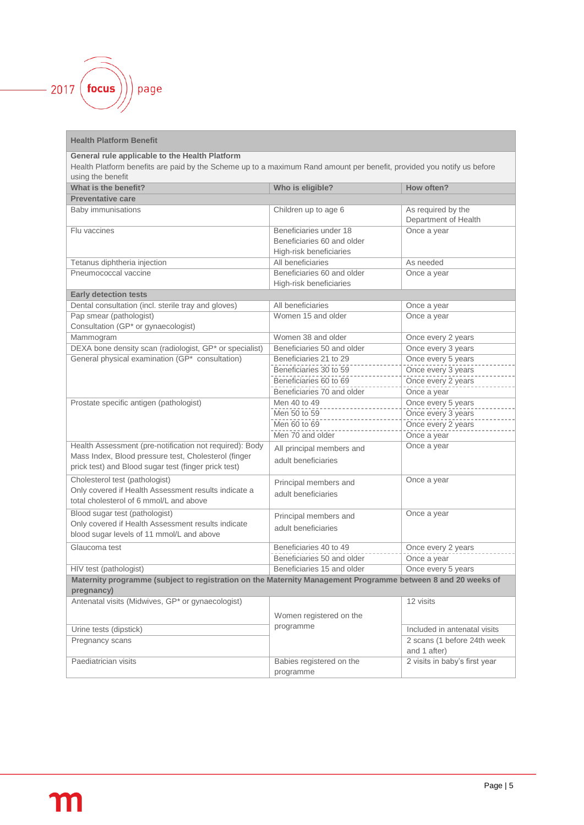# $-2017$   $\Big($  focus  $\Big)$ page

| <b>Health Platform Benefit</b>                                                                                                                                          |                                                                                 |                                             |
|-------------------------------------------------------------------------------------------------------------------------------------------------------------------------|---------------------------------------------------------------------------------|---------------------------------------------|
| General rule applicable to the Health Platform                                                                                                                          |                                                                                 |                                             |
| Health Platform benefits are paid by the Scheme up to a maximum Rand amount per benefit, provided you notify us before                                                  |                                                                                 |                                             |
| using the benefit                                                                                                                                                       |                                                                                 |                                             |
| What is the benefit?                                                                                                                                                    | Who is eligible?                                                                | How often?                                  |
| <b>Preventative care</b>                                                                                                                                                |                                                                                 |                                             |
| <b>Baby immunisations</b>                                                                                                                                               | Children up to age 6                                                            | As required by the<br>Department of Health  |
| Flu vaccines                                                                                                                                                            | Beneficiaries under 18<br>Beneficiaries 60 and older<br>High-risk beneficiaries | Once a year                                 |
| Tetanus diphtheria injection                                                                                                                                            | All beneficiaries                                                               | As needed                                   |
| Pneumococcal vaccine                                                                                                                                                    | Beneficiaries 60 and older<br>High-risk beneficiaries                           | Once a year                                 |
| <b>Early detection tests</b>                                                                                                                                            |                                                                                 |                                             |
| Dental consultation (incl. sterile tray and gloves)                                                                                                                     | All beneficiaries                                                               | Once a year                                 |
| Pap smear (pathologist)<br>Consultation (GP* or gynaecologist)                                                                                                          | Women 15 and older                                                              | Once a year                                 |
| Mammogram                                                                                                                                                               | Women 38 and older                                                              | Once every 2 years                          |
| DEXA bone density scan (radiologist, GP* or specialist)                                                                                                                 | Beneficiaries 50 and older                                                      | Once every 3 years                          |
| General physical examination (GP* consultation)                                                                                                                         | Beneficiaries 21 to 29                                                          | Once every 5 years                          |
|                                                                                                                                                                         | Beneficiaries 30 to 59                                                          | Once every 3 years                          |
|                                                                                                                                                                         | Beneficiaries 60 to 69                                                          | Once every 2 years                          |
|                                                                                                                                                                         | Beneficiaries 70 and older                                                      | Once a year                                 |
| Prostate specific antigen (pathologist)                                                                                                                                 | Men 40 to 49<br>Men 50 to 59                                                    | Once every 5 years<br>Once every 3 years    |
|                                                                                                                                                                         | Men 60 to 69<br>Men 70 and older                                                | Once every 2 years<br>Once a year           |
| Health Assessment (pre-notification not required): Body<br>Mass Index, Blood pressure test, Cholesterol (finger<br>prick test) and Blood sugar test (finger prick test) | All principal members and<br>adult beneficiaries                                | Once a year                                 |
| Cholesterol test (pathologist)<br>Only covered if Health Assessment results indicate a<br>total cholesterol of 6 mmol/L and above                                       | Principal members and<br>adult beneficiaries                                    | Once a year                                 |
| Blood sugar test (pathologist)<br>Only covered if Health Assessment results indicate<br>blood sugar levels of 11 mmol/L and above                                       | Principal members and<br>adult beneficiaries                                    | Once a year                                 |
| Glaucoma test                                                                                                                                                           | Beneficiaries 40 to 49                                                          | Once every 2 years                          |
|                                                                                                                                                                         | Beneficiaries 50 and older                                                      | Once a year                                 |
| HIV test (pathologist)                                                                                                                                                  | Beneficiaries 15 and older                                                      | Once every 5 years                          |
| Maternity programme (subject to registration on the Maternity Management Programme between 8 and 20 weeks of<br>pregnancy)                                              |                                                                                 |                                             |
| Antenatal visits (Midwives, GP* or gynaecologist)                                                                                                                       |                                                                                 | 12 visits                                   |
|                                                                                                                                                                         | Women registered on the                                                         |                                             |
|                                                                                                                                                                         | programme                                                                       | Included in antenatal visits                |
| Urine tests (dipstick)                                                                                                                                                  |                                                                                 |                                             |
| Pregnancy scans                                                                                                                                                         |                                                                                 | 2 scans (1 before 24th week<br>and 1 after) |
| Paediatrician visits                                                                                                                                                    | Babies registered on the<br>programme                                           | 2 visits in baby's first year               |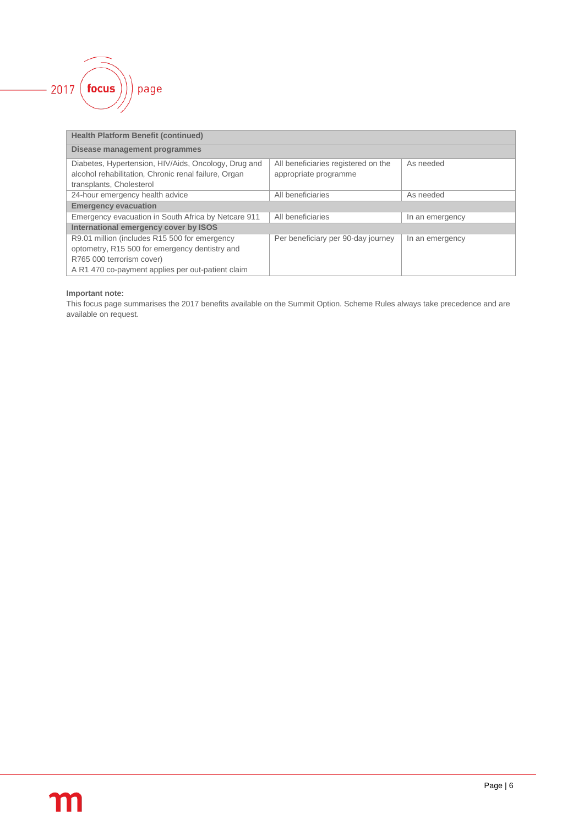# $-$  2017  $\big($  focus  $\big)$ page

| <b>Health Platform Benefit (continued)</b>           |                                     |                 |  |  |
|------------------------------------------------------|-------------------------------------|-----------------|--|--|
| Disease management programmes                        |                                     |                 |  |  |
| Diabetes, Hypertension, HIV/Aids, Oncology, Drug and | All beneficiaries registered on the | As needed       |  |  |
| alcohol rehabilitation, Chronic renal failure, Organ | appropriate programme               |                 |  |  |
| transplants, Cholesterol                             |                                     |                 |  |  |
| 24-hour emergency health advice                      | All beneficiaries                   | As needed       |  |  |
| <b>Emergency evacuation</b>                          |                                     |                 |  |  |
| Emergency evacuation in South Africa by Netcare 911  | All beneficiaries                   | In an emergency |  |  |
| International emergency cover by ISOS                |                                     |                 |  |  |
| R9.01 million (includes R15 500 for emergency        | Per beneficiary per 90-day journey  | In an emergency |  |  |
| optometry, R15 500 for emergency dentistry and       |                                     |                 |  |  |
| R765 000 terrorism cover)                            |                                     |                 |  |  |
| A R1 470 co-payment applies per out-patient claim    |                                     |                 |  |  |

#### **Important note:**

This focus page summarises the 2017 benefits available on the Summit Option. Scheme Rules always take precedence and are available on request.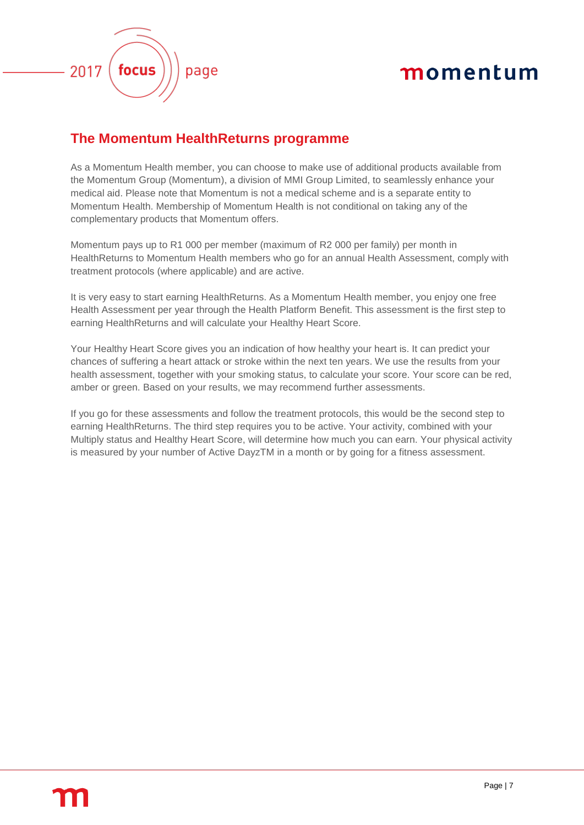

## momentum

### **The Momentum HealthReturns programme**

As a Momentum Health member, you can choose to make use of additional products available from the Momentum Group (Momentum), a division of MMI Group Limited, to seamlessly enhance your medical aid. Please note that Momentum is not a medical scheme and is a separate entity to Momentum Health. Membership of Momentum Health is not conditional on taking any of the complementary products that Momentum offers.

Momentum pays up to R1 000 per member (maximum of R2 000 per family) per month in HealthReturns to Momentum Health members who go for an annual Health Assessment, comply with treatment protocols (where applicable) and are active.

It is very easy to start earning HealthReturns. As a Momentum Health member, you enjoy one free Health Assessment per year through the Health Platform Benefit. This assessment is the first step to earning HealthReturns and will calculate your Healthy Heart Score.

Your Healthy Heart Score gives you an indication of how healthy your heart is. It can predict your chances of suffering a heart attack or stroke within the next ten years. We use the results from your health assessment, together with your smoking status, to calculate your score. Your score can be red, amber or green. Based on your results, we may recommend further assessments.

If you go for these assessments and follow the treatment protocols, this would be the second step to earning HealthReturns. The third step requires you to be active. Your activity, combined with your Multiply status and Healthy Heart Score, will determine how much you can earn. Your physical activity is measured by your number of Active DayzTM in a month or by going for a fitness assessment.